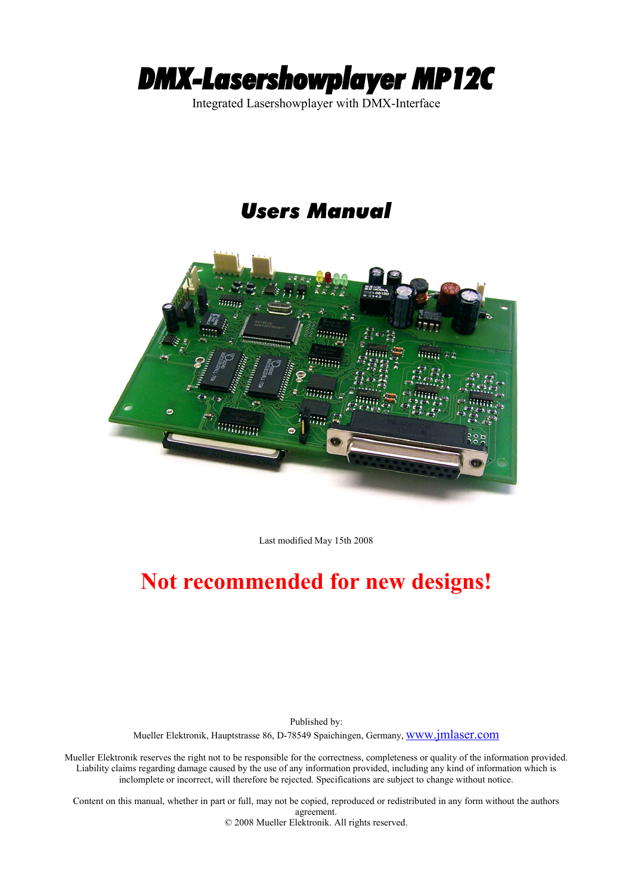

Integrated Lasershowplayer with DMX-Interface

## *Users Manual*



Last modified May 15th 2008

# **Not recommended for new designs!**

Published by: Mueller Elektronik, Hauptstrasse 86, D-78549 Spaichingen, Germany, [www.jmlaser.com](http://www.jmlaser.com/)

Mueller Elektronik reserves the right not to be responsible for the correctness, completeness or quality of the information provided. Liability claims regarding damage caused by the use of any information provided, including any kind of information which is inclomplete or incorrect, will therefore be rejected. Specifications are subject to change without notice.

Content on this manual, whether in part or full, may not be copied, reproduced or redistributed in any form without the authors agreement. © 2008 Mueller Elektronik. All rights reserved.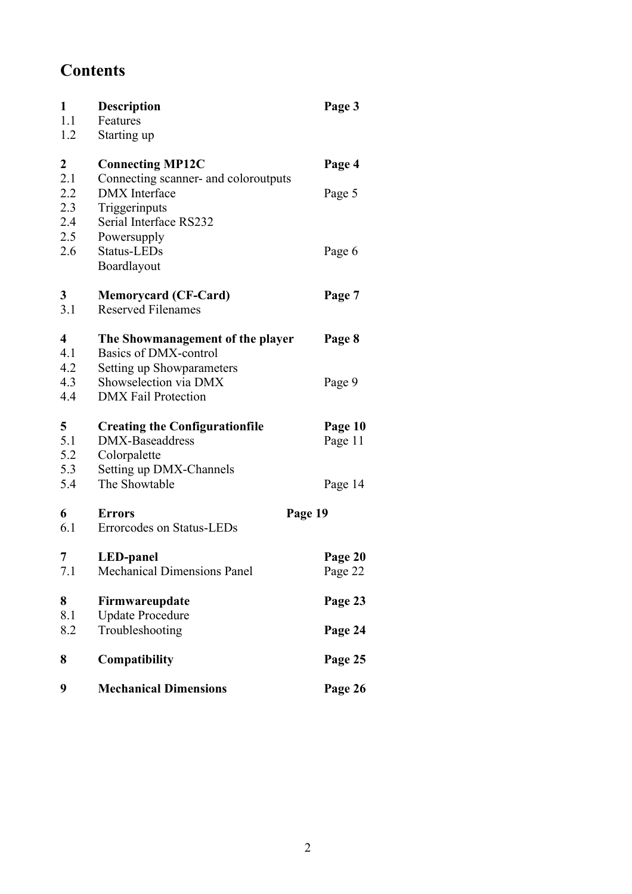## **Contents**

| 1<br>1.1<br>1.2          | Description<br>Features<br>Starting up                                                                  | Page 3             |
|--------------------------|---------------------------------------------------------------------------------------------------------|--------------------|
| 2                        | <b>Connecting MP12C</b>                                                                                 | Page 4             |
| 2.1<br>2.2<br>2.3<br>2.4 | Connecting scanner- and coloroutputs<br><b>DMX</b> Interface<br>Triggerinputs<br>Serial Interface RS232 | Page 5             |
| 2.5<br>2.6               | Powersupply<br>Status-LEDs<br>Boardlayout                                                               | Page 6             |
| 3<br>3.1                 | <b>Memorycard (CF-Card)</b><br><b>Reserved Filenames</b>                                                | Page 7             |
| 4<br>4.1<br>4.2          | The Showmanagement of the player<br>Basics of DMX-control                                               | Page 8             |
| 4.3<br>4.4               | Setting up Showparameters<br>Showselection via DMX<br><b>DMX</b> Fail Protection                        | Page 9             |
| 5<br>5.1<br>5.2<br>5.3   | <b>Creating the Configurationfile</b><br>DMX-Baseaddress<br>Colorpalette<br>Setting up DMX-Channels     | Page 10<br>Page 11 |
| 5.4                      | The Showtable                                                                                           | Page 14            |
| 6<br>6.1                 | <b>Errors</b><br>Errorcodes on Status-LEDs                                                              | Page 19            |
| 7<br>7.1                 | <b>LED-panel</b><br><b>Mechanical Dimensions Panel</b>                                                  | Page 20<br>Page 22 |
| 8<br>8.1                 | Firmwareupdate<br><b>Update Procedure</b>                                                               | Page 23            |
| 8.2                      | Troubleshooting                                                                                         | Page 24            |
| 8                        | Compatibility                                                                                           | Page 25            |
| 9                        | <b>Mechanical Dimensions</b>                                                                            | Page 26            |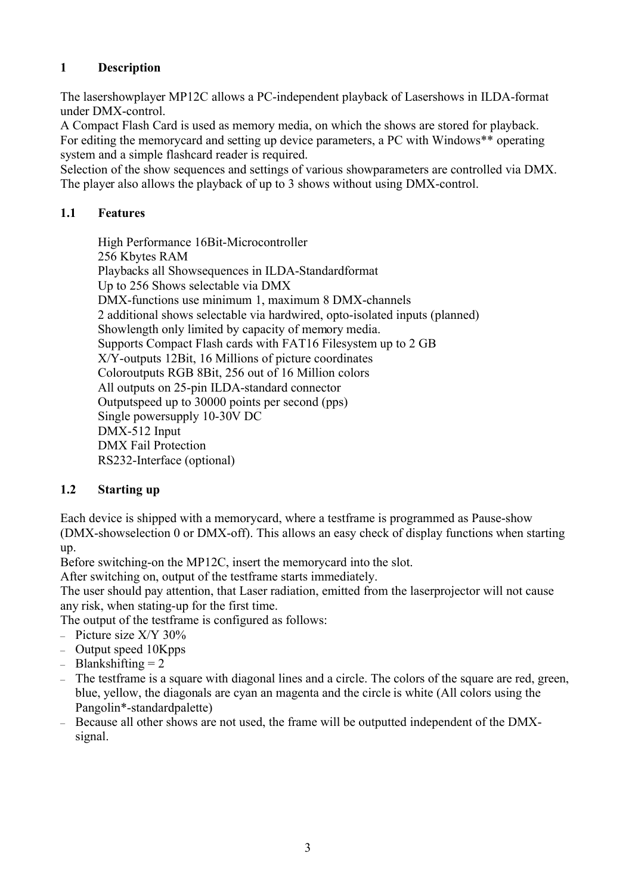## **1 Description**

The lasershowplayer MP12C allows a PC-independent playback of Lasershows in ILDA-format under DMX-control.

A Compact Flash Card is used as memory media, on which the shows are stored for playback. For editing the memorycard and setting up device parameters, a PC with Windows\*\* operating system and a simple flashcard reader is required.

Selection of the show sequences and settings of various showparameters are controlled via DMX. The player also allows the playback of up to 3 shows without using DMX-control.

## **1.1 Features**

High Performance 16Bit-Microcontroller 256 Kbytes RAM Playbacks all Showsequences in ILDA-Standardformat Up to 256 Shows selectable via DMX DMX-functions use minimum 1, maximum 8 DMX-channels 2 additional shows selectable via hardwired, opto-isolated inputs (planned) Showlength only limited by capacity of memory media. Supports Compact Flash cards with FAT16 Filesystem up to 2 GB X/Y-outputs 12Bit, 16 Millions of picture coordinates Coloroutputs RGB 8Bit, 256 out of 16 Million colors All outputs on 25-pin ILDA-standard connector Outputspeed up to 30000 points per second (pps) Single powersupply 10-30V DC DMX-512 Input DMX Fail Protection RS232-Interface (optional)

## **1.2 Starting up**

Each device is shipped with a memorycard, where a testframe is programmed as Pause-show (DMX-showselection 0 or DMX-off). This allows an easy check of display functions when starting up.

Before switching-on the MP12C, insert the memorycard into the slot.

After switching on, output of the testframe starts immediately.

The user should pay attention, that Laser radiation, emitted from the laserprojector will not cause any risk, when stating-up for the first time.

The output of the testframe is configured as follows:

- Picture size X/Y 30%
- Output speed 10Kpps
- $-$  Blankshifting  $= 2$
- The testframe is a square with diagonal lines and a circle. The colors of the square are red, green, blue, yellow, the diagonals are cyan an magenta and the circle is white (All colors using the Pangolin\*-standardpalette)
- Because all other shows are not used, the frame will be outputted independent of the DMXsignal.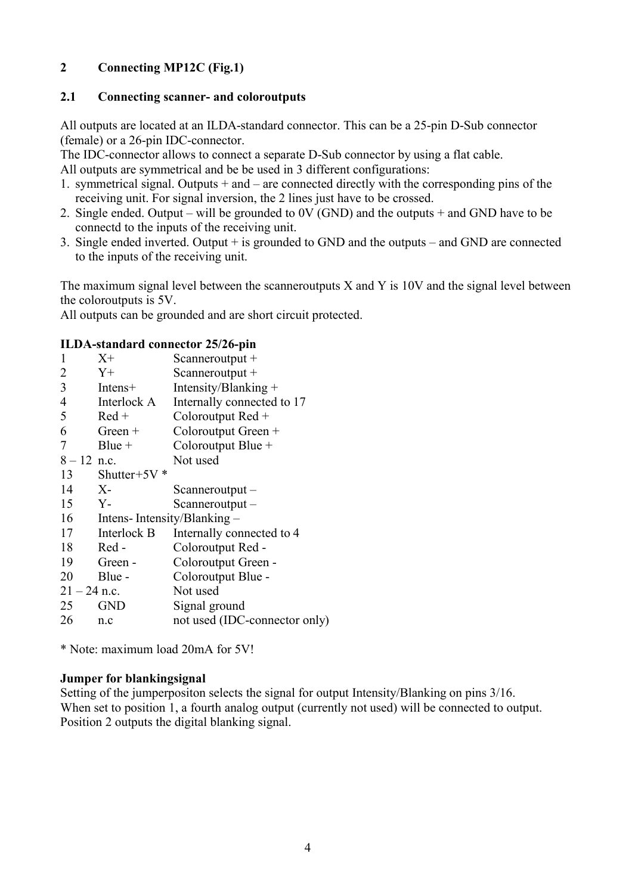## **2 Connecting MP12C (Fig.1)**

#### **2.1 Connecting scanner- and coloroutputs**

All outputs are located at an ILDA-standard connector. This can be a 25-pin D-Sub connector (female) or a 26-pin IDC-connector.

The IDC-connector allows to connect a separate D-Sub connector by using a flat cable.

All outputs are symmetrical and be be used in 3 different configurations:

- 1. symmetrical signal. Outputs + and are connected directly with the corresponding pins of the receiving unit. For signal inversion, the 2 lines just have to be crossed.
- 2. Single ended. Output will be grounded to 0V (GND) and the outputs + and GND have to be connectd to the inputs of the receiving unit.
- 3. Single ended inverted. Output + is grounded to GND and the outputs and GND are connected to the inputs of the receiving unit.

The maximum signal level between the scanneroutputs X and Y is 10V and the signal level between the coloroutputs is 5V.

All outputs can be grounded and are short circuit protected.

#### **ILDA-standard connector 25/26-pin**

| X+                         | Scanneroutput $+$             |
|----------------------------|-------------------------------|
| $Y_{+}$                    | Scanneroutput $+$             |
| Intens+                    | Intensity/Blanking +          |
| Interlock A                | Internally connected to 17    |
| $Red +$                    | Coloroutput Red +             |
| $Green +$                  | Coloroutput Green +           |
| $Blue +$                   | Coloroutput Blue +            |
| $8 - 12$ n.c.              | Not used                      |
| Shutter+5 $V^*$            |                               |
| $X-$                       | $Scanner output -$            |
| $Y -$                      | Scanneroutput –               |
| Intens-Intensity/Blanking- |                               |
| Interlock B                | Internally connected to 4     |
| Red-                       | Coloroutput Red -             |
| Green -                    | Coloroutput Green -           |
| Blue -                     | Coloroutput Blue -            |
| $21 - 24$ n.c.             | Not used                      |
| <b>GND</b>                 | Signal ground                 |
| n.c                        | not used (IDC-connector only) |
|                            |                               |

\* Note: maximum load 20mA for 5V!

#### **Jumper for blankingsignal**

Setting of the jumperpositon selects the signal for output Intensity/Blanking on pins 3/16. When set to position 1, a fourth analog output (currently not used) will be connected to output. Position 2 outputs the digital blanking signal.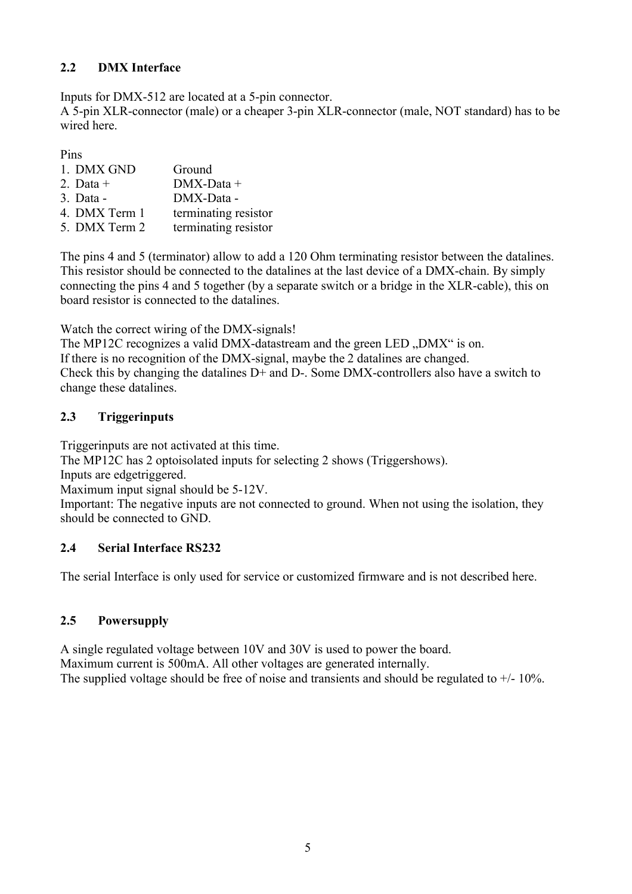## **2.2 DMX Interface**

Inputs for DMX-512 are located at a 5-pin connector.

A 5-pin XLR-connector (male) or a cheaper 3-pin XLR-connector (male, NOT standard) has to be wired here.

Pins

| 1. DMX GND        | Ground               |
|-------------------|----------------------|
| 2. Data $+$       | $DMX$ -Data +        |
| $3. \text{ Data}$ | DMX-Data -           |
| 4. DMX Term 1     | terminating resistor |
| 5. DMX Term 2     | terminating resistor |

The pins 4 and 5 (terminator) allow to add a 120 Ohm terminating resistor between the datalines. This resistor should be connected to the datalines at the last device of a DMX-chain. By simply connecting the pins 4 and 5 together (by a separate switch or a bridge in the XLR-cable), this on board resistor is connected to the datalines.

Watch the correct wiring of the DMX-signals!

The MP12C recognizes a valid DMX-datastream and the green LED "DMX" is on. If there is no recognition of the DMX-signal, maybe the 2 datalines are changed. Check this by changing the datalines D+ and D-. Some DMX-controllers also have a switch to change these datalines.

## **2.3 Triggerinputs**

Triggerinputs are not activated at this time.

The MP12C has 2 optoisolated inputs for selecting 2 shows (Triggershows).

Inputs are edgetriggered.

Maximum input signal should be 5-12V.

Important: The negative inputs are not connected to ground. When not using the isolation, they should be connected to GND.

## **2.4 Serial Interface RS232**

The serial Interface is only used for service or customized firmware and is not described here.

## **2.5 Powersupply**

A single regulated voltage between 10V and 30V is used to power the board. Maximum current is 500mA. All other voltages are generated internally. The supplied voltage should be free of noise and transients and should be regulated to  $+/$ - 10%.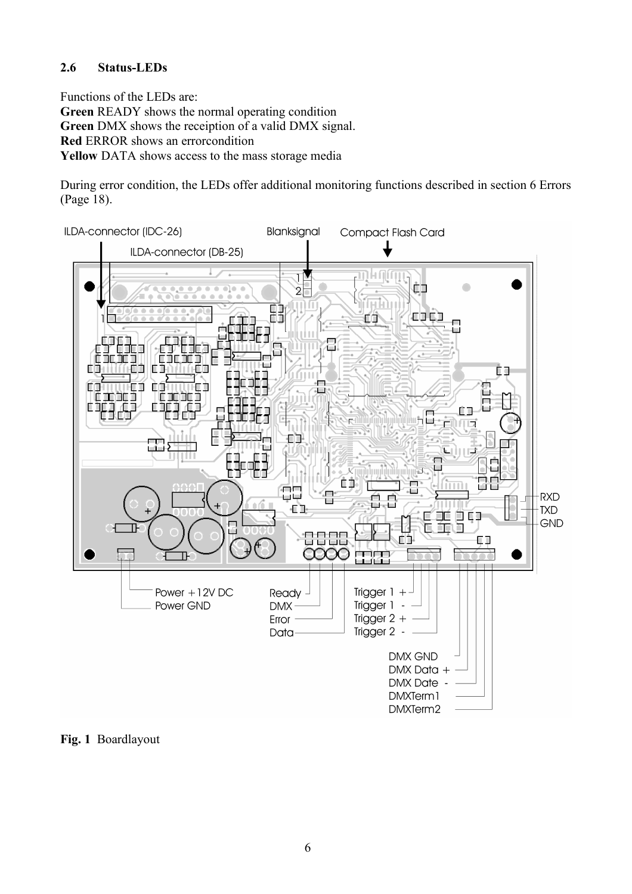#### **2.6 Status-LEDs**

Functions of the LEDs are: **Green** READY shows the normal operating condition **Green** DMX shows the receiption of a valid DMX signal. **Red** ERROR shows an errorcondition **Yellow** DATA shows access to the mass storage media

During error condition, the LEDs offer additional monitoring functions described in section 6 Errors (Page 18).



**Fig. 1** Boardlayout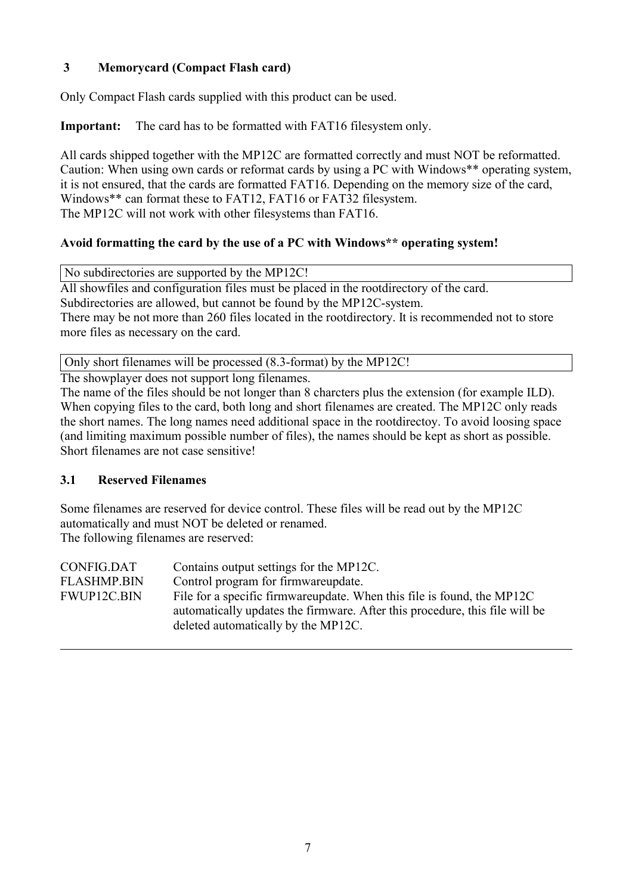## **3 Memorycard (Compact Flash card)**

Only Compact Flash cards supplied with this product can be used.

**Important:** The card has to be formatted with FAT16 filesystem only.

All cards shipped together with the MP12C are formatted correctly and must NOT be reformatted. Caution: When using own cards or reformat cards by using a PC with Windows\*\* operating system, it is not ensured, that the cards are formatted FAT16. Depending on the memory size of the card, Windows\*\* can format these to FAT12, FAT16 or FAT32 filesystem. The MP12C will not work with other filesystems than FAT16.

## **Avoid formatting the card by the use of a PC with Windows\*\* operating system!**

No subdirectories are supported by the MP12C!

All showfiles and configuration files must be placed in the rootdirectory of the card. Subdirectories are allowed, but cannot be found by the MP12C-system. There may be not more than 260 files located in the rootdirectory. It is recommended not to store more files as necessary on the card.

Only short filenames will be processed (8.3-format) by the MP12C!

The showplayer does not support long filenames.

The name of the files should be not longer than 8 charcters plus the extension (for example ILD). When copying files to the card, both long and short filenames are created. The MP12C only reads the short names. The long names need additional space in the rootdirectoy. To avoid loosing space (and limiting maximum possible number of files), the names should be kept as short as possible. Short filenames are not case sensitive!

## **3.1 Reserved Filenames**

Some filenames are reserved for device control. These files will be read out by the MP12C automatically and must NOT be deleted or renamed. The following filenames are reserved:

| deleted automatically by the MP12C. | CONFIG.DAT<br><b>FLASHMP.BIN</b><br>FWUP12C.BIN | Contains output settings for the MP12C.<br>Control program for firmwareupdate.<br>File for a specific firmware update. When this file is found, the MP12C<br>automatically updates the firmware. After this procedure, this file will be |
|-------------------------------------|-------------------------------------------------|------------------------------------------------------------------------------------------------------------------------------------------------------------------------------------------------------------------------------------------|
|-------------------------------------|-------------------------------------------------|------------------------------------------------------------------------------------------------------------------------------------------------------------------------------------------------------------------------------------------|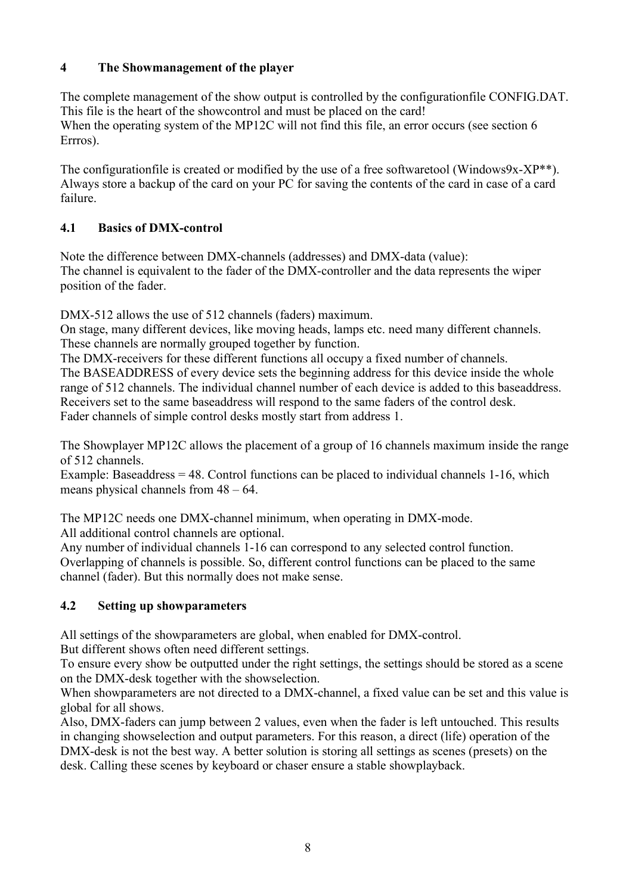## **4 The Showmanagement of the player**

The complete management of the show output is controlled by the configurationfile CONFIG.DAT. This file is the heart of the showcontrol and must be placed on the card! When the operating system of the MP12C will not find this file, an error occurs (see section 6 Errros).

The configurationfile is created or modified by the use of a free softwaretool (Windows9x-XP<sup>\*\*</sup>). Always store a backup of the card on your PC for saving the contents of the card in case of a card failure.

## **4.1 Basics of DMX-control**

Note the difference between DMX-channels (addresses) and DMX-data (value): The channel is equivalent to the fader of the DMX-controller and the data represents the wiper position of the fader.

DMX-512 allows the use of 512 channels (faders) maximum.

On stage, many different devices, like moving heads, lamps etc. need many different channels. These channels are normally grouped together by function.

The DMX-receivers for these different functions all occupy a fixed number of channels. The BASEADDRESS of every device sets the beginning address for this device inside the whole

range of 512 channels. The individual channel number of each device is added to this baseaddress. Receivers set to the same baseaddress will respond to the same faders of the control desk. Fader channels of simple control desks mostly start from address 1.

The Showplayer MP12C allows the placement of a group of 16 channels maximum inside the range of 512 channels.

Example: Baseaddress  $= 48$ . Control functions can be placed to individual channels  $1-16$ , which means physical channels from 48 – 64.

The MP12C needs one DMX-channel minimum, when operating in DMX-mode. All additional control channels are optional.

Any number of individual channels 1-16 can correspond to any selected control function. Overlapping of channels is possible. So, different control functions can be placed to the same channel (fader). But this normally does not make sense.

## **4.2 Setting up showparameters**

All settings of the showparameters are global, when enabled for DMX-control. But different shows often need different settings.

To ensure every show be outputted under the right settings, the settings should be stored as a scene on the DMX-desk together with the showselection.

When showparameters are not directed to a DMX-channel, a fixed value can be set and this value is global for all shows.

Also, DMX-faders can jump between 2 values, even when the fader is left untouched. This results in changing showselection and output parameters. For this reason, a direct (life) operation of the DMX-desk is not the best way. A better solution is storing all settings as scenes (presets) on the desk. Calling these scenes by keyboard or chaser ensure a stable showplayback.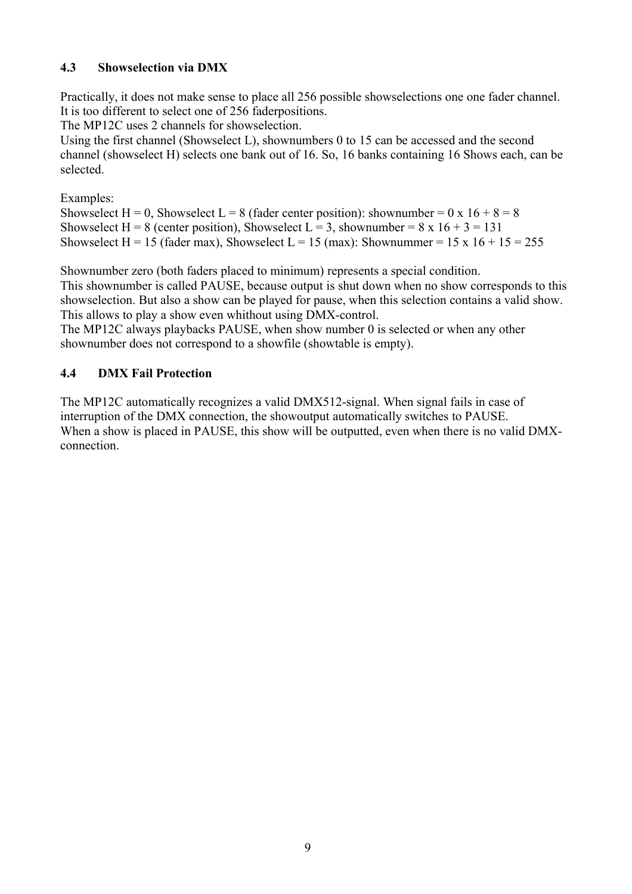## **4.3 Showselection via DMX**

Practically, it does not make sense to place all 256 possible showselections one one fader channel. It is too different to select one of 256 faderpositions.

The MP12C uses 2 channels for showselection.

Using the first channel (Showselect L), shownumbers 0 to 15 can be accessed and the second channel (showselect H) selects one bank out of 16. So, 16 banks containing 16 Shows each, can be selected.

Examples:

Showselect H = 0, Showselect L = 8 (fader center position): shownumber = 0 x 16 + 8 = 8 Showselect H = 8 (center position), Showselect L = 3, shownumber =  $8 \times 16 + 3 = 131$ Showselect H = 15 (fader max), Showselect L = 15 (max): Shownummer = 15 x 16 + 15 = 255

Shownumber zero (both faders placed to minimum) represents a special condition.

This shownumber is called PAUSE, because output is shut down when no show corresponds to this showselection. But also a show can be played for pause, when this selection contains a valid show. This allows to play a show even whithout using DMX-control.

The MP12C always playbacks PAUSE, when show number 0 is selected or when any other shownumber does not correspond to a showfile (showtable is empty).

## **4.4 DMX Fail Protection**

The MP12C automatically recognizes a valid DMX512-signal. When signal fails in case of interruption of the DMX connection, the showoutput automatically switches to PAUSE. When a show is placed in PAUSE, this show will be outputted, even when there is no valid DMXconnection.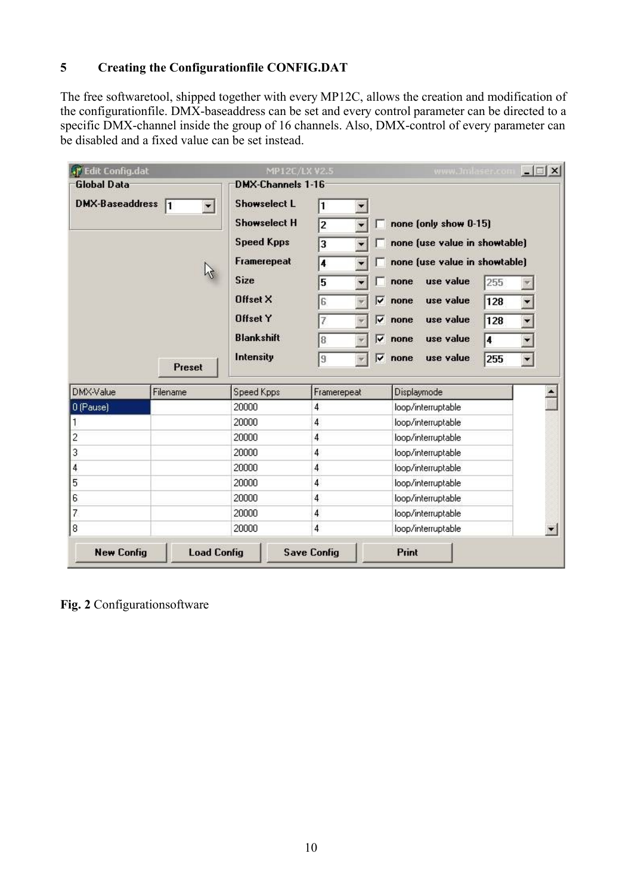## **5 Creating the Configurationfile CONFIG.DAT**

The free softwaretool, shipped together with every MP12C, allows the creation and modification of the configurationfile. DMX-baseaddress can be set and every control parameter can be directed to a specific DMX-channel inside the group of 16 channels. Also, DMX-control of every parameter can be disabled and a fixed value can be set instead.

| . Fdit Config.dat                             |                    | MP12C/LX V2.5       |                    | www.Jmlaser.com               | $ \Box$ $\times$     |
|-----------------------------------------------|--------------------|---------------------|--------------------|-------------------------------|----------------------|
| <b>Global Data</b>                            |                    | DMX-Channels 1-16   |                    |                               |                      |
| DMX-Baseaddress<br>11<br>$\blacktriangledown$ |                    | <b>Showselect L</b> | 1                  |                               |                      |
|                                               |                    | <b>Showselect H</b> | $\overline{2}$     | none (only show 0-15)         |                      |
|                                               |                    | <b>Speed Kpps</b>   | 3                  | none (use value in showtable) |                      |
|                                               |                    | Framerepeat         | 4                  | none (use value in showtable) |                      |
|                                               |                    |                     |                    |                               |                      |
|                                               |                    | <b>Size</b>         | 5                  | use value<br>255<br>none      |                      |
|                                               |                    | Offset X            | ┍<br>6             | use value<br>128<br>none      | ¥.                   |
|                                               |                    | <b>Offset Y</b>     | ⊽<br>7             | use value<br>128<br>none      | Y.                   |
|                                               |                    | <b>Blankshift</b>   | ◸<br>8             | use value<br>none<br>4        | $\blacktriangledown$ |
|                                               |                    | Intensity           | ╔<br>9             | use value<br>none<br>255      | $\blacktriangledown$ |
|                                               | Preset             |                     |                    |                               |                      |
| DMX-Value                                     | Filename           | Speed Kpps          | Framerepeat        | Displaymode                   |                      |
| 0 (Pause)                                     |                    | 20000               | 4                  | loop/interruptable            |                      |
| 1                                             |                    | 20000               | 4                  | loop/interruptable            |                      |
| $\overline{c}$                                |                    | 20000               | 4                  | loop/interruptable            |                      |
| 3                                             |                    | 20000               | 4                  | loop/interruptable            |                      |
| 4                                             |                    | 20000               | 4                  | loop/interruptable            |                      |
| 5                                             |                    | 20000               | 4                  | loop/interruptable            |                      |
| 6                                             |                    | 20000               | 4                  | loop/interruptable            |                      |
| 7                                             |                    | 20000               | 4                  | loop/interruptable            |                      |
| 8                                             |                    | 20000               | 4                  | loop/interruptable            |                      |
| <b>New Config</b>                             | <b>Load Config</b> |                     | <b>Save Config</b> | Print                         |                      |

**Fig. 2** Configurationsoftware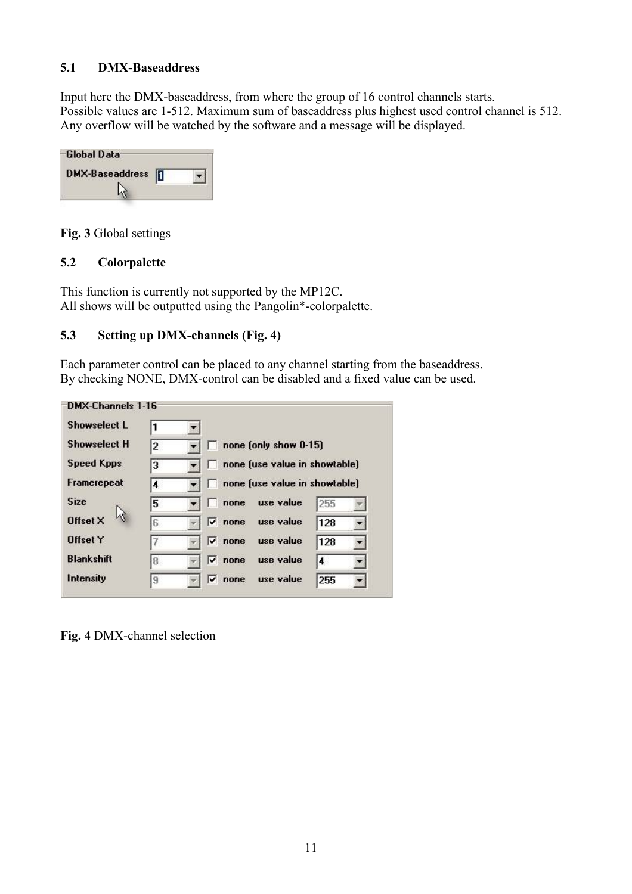#### **5.1 DMX-Baseaddress**

Input here the DMX-baseaddress, from where the group of 16 control channels starts. Possible values are 1-512. Maximum sum of baseaddress plus highest used control channel is 512. Any overflow will be watched by the software and a message will be displayed.

| -Global Data           |  |
|------------------------|--|
| <b>DMX-Baseaddress</b> |  |
|                        |  |

**Fig. 3** Global settings

## **5.2 Colorpalette**

This function is currently not supported by the MP12C. All shows will be outputted using the Pangolin\*-colorpalette.

## **5.3 Setting up DMX-channels (Fig. 4)**

Each parameter control can be placed to any channel starting from the baseaddress. By checking NONE, DMX-control can be disabled and a fixed value can be used.

| Showselect L        |   |            |                               |     |  |
|---------------------|---|------------|-------------------------------|-----|--|
| <b>Showselect H</b> | 2 |            | none (only show 0-15)         |     |  |
| <b>Speed Kpps</b>   | 3 |            | none (use value in showtable) |     |  |
| Framerepeat         | 4 |            | none (use value in showtable) |     |  |
| <b>Size</b>         | 5 | none       | use value                     | 255 |  |
| Offset X            | 6 | ⊽∶<br>none | use value                     | 128 |  |
| <b>Offset Y</b>     |   | ⊽<br>none  | use value                     | 128 |  |
| <b>Blankshift</b>   | 8 | ⊽<br>none  | use value                     | 4   |  |
| Intensity           | 9 | ⊽<br>none  | use value                     | 255 |  |

**Fig. 4** DMX-channel selection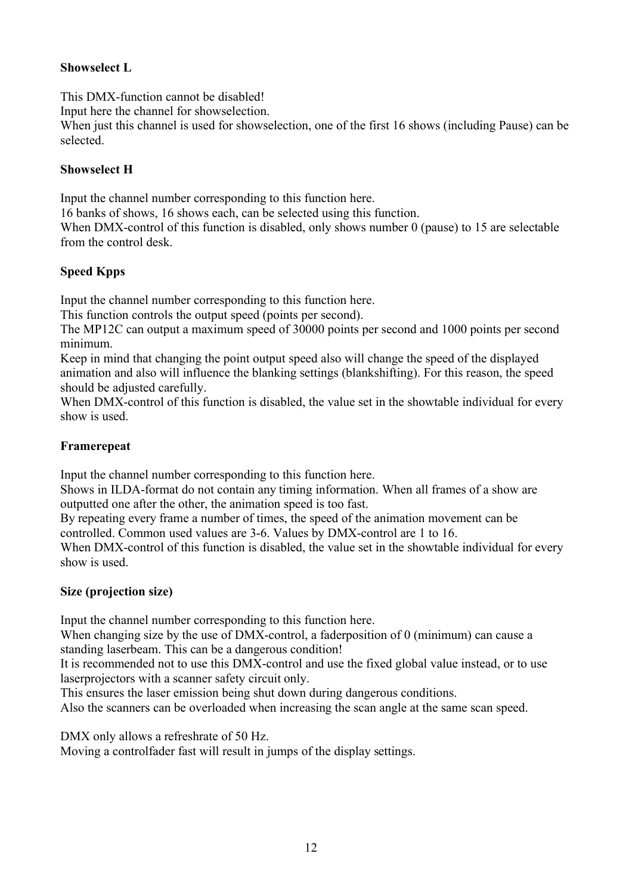## **Showselect L**

This DMX-function cannot be disabled!

Input here the channel for showselection.

When just this channel is used for showselection, one of the first 16 shows (including Pause) can be selected.

#### **Showselect H**

Input the channel number corresponding to this function here.

16 banks of shows, 16 shows each, can be selected using this function.

When DMX-control of this function is disabled, only shows number 0 (pause) to 15 are selectable from the control desk.

## **Speed Kpps**

Input the channel number corresponding to this function here.

This function controls the output speed (points per second).

The MP12C can output a maximum speed of 30000 points per second and 1000 points per second minimum.

Keep in mind that changing the point output speed also will change the speed of the displayed animation and also will influence the blanking settings (blankshifting). For this reason, the speed should be adjusted carefully.

When DMX-control of this function is disabled, the value set in the showtable individual for every show is used.

#### **Framerepeat**

Input the channel number corresponding to this function here.

Shows in ILDA-format do not contain any timing information. When all frames of a show are outputted one after the other, the animation speed is too fast.

By repeating every frame a number of times, the speed of the animation movement can be controlled. Common used values are 3-6. Values by DMX-control are 1 to 16.

When DMX-control of this function is disabled, the value set in the showtable individual for every show is used.

## **Size (projection size)**

Input the channel number corresponding to this function here.

When changing size by the use of DMX-control, a faderposition of 0 (minimum) can cause a standing laserbeam. This can be a dangerous condition!

It is recommended not to use this DMX-control and use the fixed global value instead, or to use laserprojectors with a scanner safety circuit only.

This ensures the laser emission being shut down during dangerous conditions.

Also the scanners can be overloaded when increasing the scan angle at the same scan speed.

DMX only allows a refreshrate of 50 Hz.

Moving a controlfader fast will result in jumps of the display settings.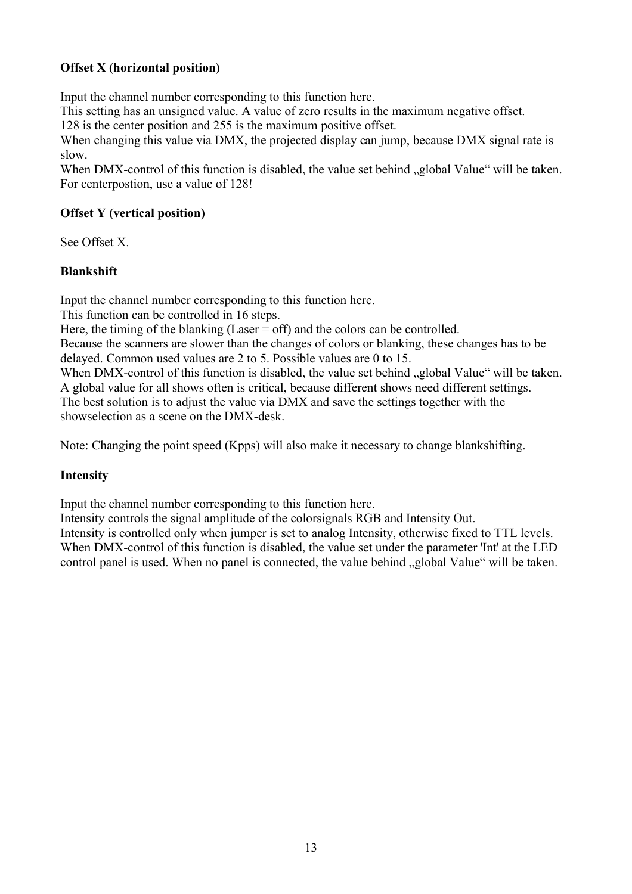## **Offset X (horizontal position)**

Input the channel number corresponding to this function here.

This setting has an unsigned value. A value of zero results in the maximum negative offset.

128 is the center position and 255 is the maximum positive offset.

When changing this value via DMX, the projected display can jump, because DMX signal rate is slow.

When DMX-control of this function is disabled, the value set behind "global Value" will be taken. For centerpostion, use a value of 128!

#### **Offset Y (vertical position)**

See Offset X.

#### **Blankshift**

Input the channel number corresponding to this function here.

This function can be controlled in 16 steps.

Here, the timing of the blanking (Laser  $=$  off) and the colors can be controlled.

Because the scanners are slower than the changes of colors or blanking, these changes has to be delayed. Common used values are 2 to 5. Possible values are 0 to 15.

When DMX-control of this function is disabled, the value set behind "global Value" will be taken. A global value for all shows often is critical, because different shows need different settings. The best solution is to adjust the value via DMX and save the settings together with the showselection as a scene on the DMX-desk.

Note: Changing the point speed (Kpps) will also make it necessary to change blankshifting.

## **Intensity**

Input the channel number corresponding to this function here.

Intensity controls the signal amplitude of the colorsignals RGB and Intensity Out. Intensity is controlled only when jumper is set to analog Intensity, otherwise fixed to TTL levels. When DMX-control of this function is disabled, the value set under the parameter 'Int' at the LED control panel is used. When no panel is connected, the value behind "global Value" will be taken.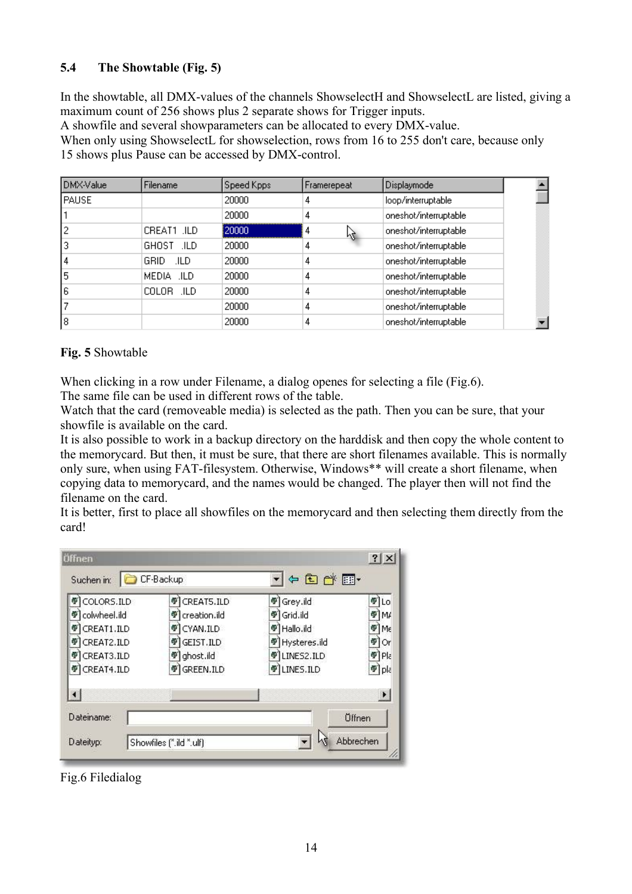## **5.4 The Showtable (Fig. 5)**

In the showtable, all DMX-values of the channels ShowselectH and ShowselectL are listed, giving a maximum count of 256 shows plus 2 separate shows for Trigger inputs.

A showfile and several showparameters can be allocated to every DMX-value.

When only using ShowselectL for showselection, rows from 16 to 255 don't care, because only 15 shows plus Pause can be accessed by DMX-control.

| DMX-Value | <b>Filename</b> | Speed Kpps | Framerepeat | <b>Displaymode</b>    |  |
|-----------|-----------------|------------|-------------|-----------------------|--|
| PAUSE     |                 | 20000      | 4           | loop/interruptable    |  |
|           |                 | 20000      | 4           | oneshot/interruptable |  |
|           | CREAT1 .ILD     | 20000      | 4<br>Μ      | oneshot/interruptable |  |
|           | GHOST JLD       | 20000      | 4           | oneshot/interruptable |  |
| 4         | GRID.<br>.ILD   | 20000      | 4           | oneshot/interruptable |  |
| 5         | MEDIA .ILD      | 20000      | 4           | oneshot/interruptable |  |
| 6         | COLOR .ILD      | 20000      | 4           | oneshot/interruptable |  |
|           |                 | 20000      | 4           | oneshot/interruptable |  |
| 8         |                 | 20000      | 4           | oneshot/interruptable |  |

#### **Fig. 5** Showtable

When clicking in a row under Filename, a dialog openes for selecting a file (Fig.6).

The same file can be used in different rows of the table.

Watch that the card (removeable media) is selected as the path. Then you can be sure, that your showfile is available on the card.

It is also possible to work in a backup directory on the harddisk and then copy the whole content to the memorycard. But then, it must be sure, that there are short filenames available. This is normally only sure, when using FAT-filesystem. Otherwise, Windows\*\* will create a short filename, when copying data to memorycard, and the names would be changed. The player then will not find the filename on the card.

It is better, first to place all showfiles on the memorycard and then selecting them directly from the card!

| COLORS.ILD            | CREAT5.ILD<br>學   | Grey.ild<br>鄣             | Ф<br>Lο               |
|-----------------------|-------------------|---------------------------|-----------------------|
| colwheel.ild<br>φ     | creation.ild<br>÷ | Grid.ild<br>學             | ⊕]M/                  |
| CREAT1.ILD<br>Ф       | CYAN.ILD<br>÷     | <sup>9</sup> Hallo.ild    | ¶[Mε                  |
| CREAT2.ILD<br>đΡ      | GEIST.ILD<br>Ф    | <sup>6</sup> Hysteres.ild | ¶ Or                  |
| CREAT3.ILD<br>Ф       | ghost.ild<br>Φ    | LINES2.ILD<br>Ф           | $\Psi$ Pla            |
| CREAT4.ILD            | GREEN.ILD<br>Φ    | <b>TILINES.ILD</b>        | <sup>可</sup> pla      |
| $\lvert \cdot \rvert$ |                   |                           | $\blacktriangleright$ |

Fig.6 Filedialog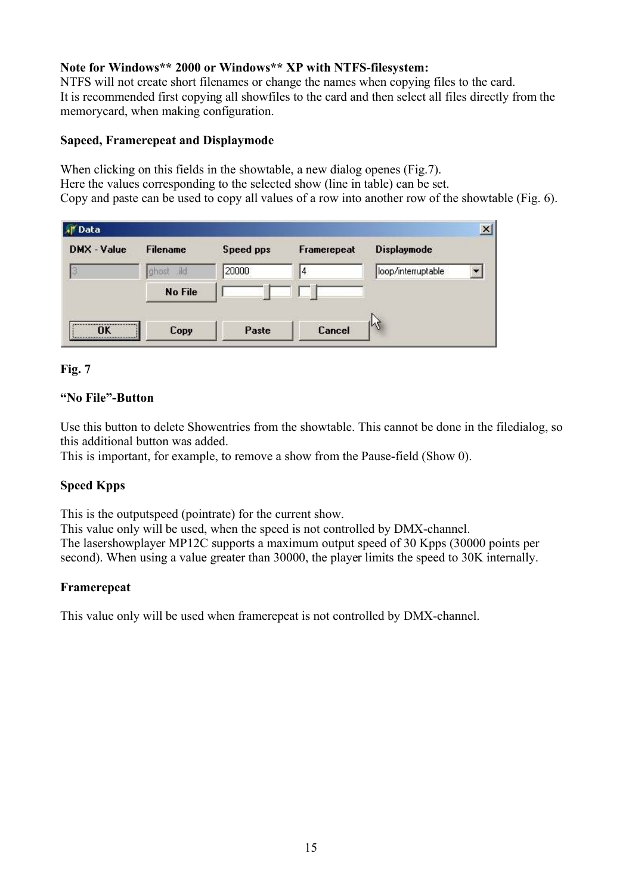#### **Note for Windows\*\* 2000 or Windows\*\* XP with NTFS-filesystem:**

NTFS will not create short filenames or change the names when copying files to the card. It is recommended first copying all showfiles to the card and then select all files directly from the memorycard, when making configuration.

#### **Sapeed, Framerepeat and Displaymode**

When clicking on this fields in the showtable, a new dialog openes (Fig.7). Here the values corresponding to the selected show (line in table) can be set. Copy and paste can be used to copy all values of a row into another row of the showtable (Fig. 6).

| <b>All</b> Data |                       |           |             |                    |
|-----------------|-----------------------|-----------|-------------|--------------------|
| DMX - Value     | <b>Filename</b>       | Speed pps | Framerepeat | <b>Displaymode</b> |
|                 | $\mathbb{d}$<br>dhost | 20000     | 14          | loop/interruptable |
|                 | <b>No File</b>        |           |             |                    |
|                 |                       |           |             |                    |
| ΠK              | Copy                  | Paste     | Cancel      | lrg                |

#### **Fig. 7**

#### **"No File"-Button**

Use this button to delete Showentries from the showtable. This cannot be done in the filedialog, so this additional button was added.

This is important, for example, to remove a show from the Pause-field (Show 0).

#### **Speed Kpps**

This is the outputspeed (pointrate) for the current show.

This value only will be used, when the speed is not controlled by DMX-channel. The lasershowplayer MP12C supports a maximum output speed of 30 Kpps (30000 points per second). When using a value greater than 30000, the player limits the speed to 30K internally.

#### **Framerepeat**

This value only will be used when framerepeat is not controlled by DMX-channel.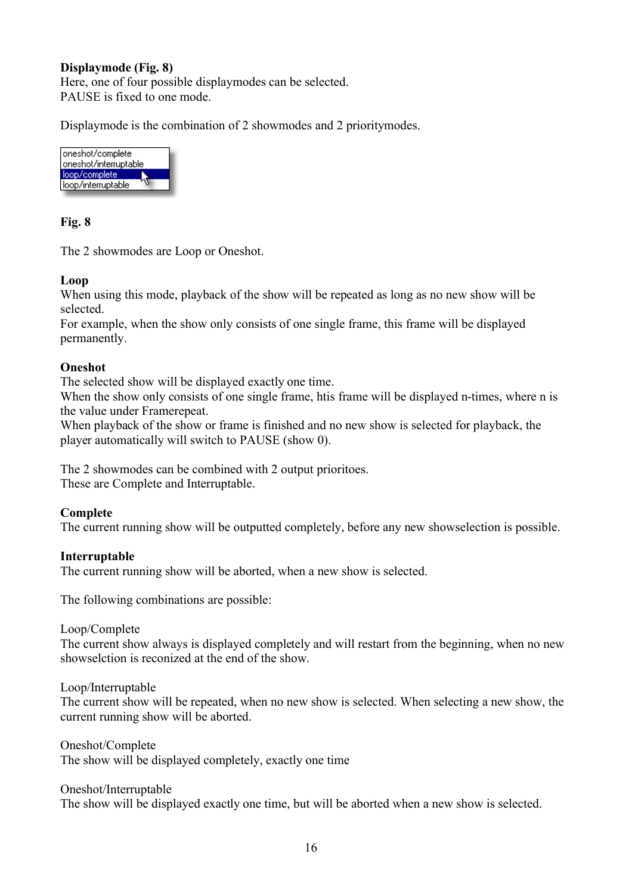#### **Displaymode (Fig. 8)**

Here, one of four possible displaymodes can be selected. PAUSE is fixed to one mode.

Displaymode is the combination of 2 showmodes and 2 prioritymodes.



#### **Fig. 8**

The 2 showmodes are Loop or Oneshot.

#### **Loop**

When using this mode, playback of the show will be repeated as long as no new show will be selected.

For example, when the show only consists of one single frame, this frame will be displayed permanently.

#### **Oneshot**

The selected show will be displayed exactly one time.

When the show only consists of one single frame, htis frame will be displayed n-times, where n is the value under Framerepeat.

When playback of the show or frame is finished and no new show is selected for playback, the player automatically will switch to PAUSE (show 0).

The 2 showmodes can be combined with 2 output prioritoes. These are Complete and Interruptable.

#### **Complete**

The current running show will be outputted completely, before any new showselection is possible.

#### **Interruptable**

The current running show will be aborted, when a new show is selected.

The following combinations are possible:

Loop/Complete

The current show always is displayed completely and will restart from the beginning, when no new showselction is reconized at the end of the show.

Loop/Interruptable

The current show will be repeated, when no new show is selected. When selecting a new show, the current running show will be aborted.

Oneshot/Complete The show will be displayed completely, exactly one time

Oneshot/Interruptable

The show will be displayed exactly one time, but will be aborted when a new show is selected.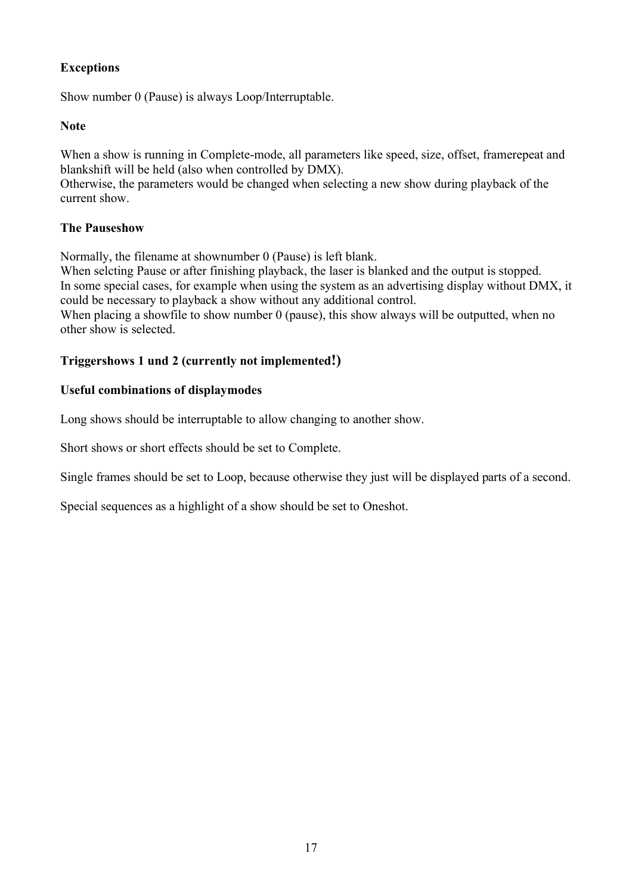## **Exceptions**

Show number 0 (Pause) is always Loop/Interruptable.

#### **Note**

When a show is running in Complete-mode, all parameters like speed, size, offset, framerepeat and blankshift will be held (also when controlled by DMX).

Otherwise, the parameters would be changed when selecting a new show during playback of the current show.

#### **The Pauseshow**

Normally, the filename at shownumber 0 (Pause) is left blank.

When selcting Pause or after finishing playback, the laser is blanked and the output is stopped. In some special cases, for example when using the system as an advertising display without DMX, it could be necessary to playback a show without any additional control. When placing a showfile to show number 0 (pause), this show always will be outputted, when no

other show is selected.

#### **Triggershows 1 und 2 (currently not implemented!)**

#### **Useful combinations of displaymodes**

Long shows should be interruptable to allow changing to another show.

Short shows or short effects should be set to Complete.

Single frames should be set to Loop, because otherwise they just will be displayed parts of a second.

Special sequences as a highlight of a show should be set to Oneshot.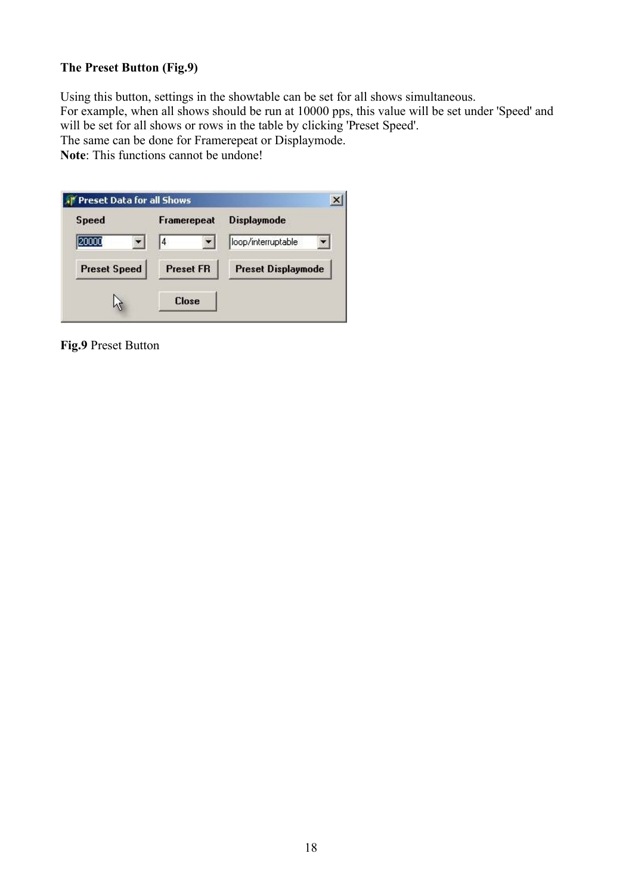## **The Preset Button (Fig.9)**

Using this button, settings in the showtable can be set for all shows simultaneous. For example, when all shows should be run at 10000 pps, this value will be set under 'Speed' and will be set for all shows or rows in the table by clicking 'Preset Speed'. The same can be done for Framerepeat or Displaymode.

**Note**: This functions cannot be undone!

| <b>Speed</b>        | Framerepeat      | <b>Displaymode</b>        |
|---------------------|------------------|---------------------------|
|                     | 4                | loop/interruptable        |
| <b>Preset Speed</b> | <b>Preset FR</b> | <b>Preset Displaymode</b> |
|                     | <b>Close</b>     |                           |

**Fig.9** Preset Button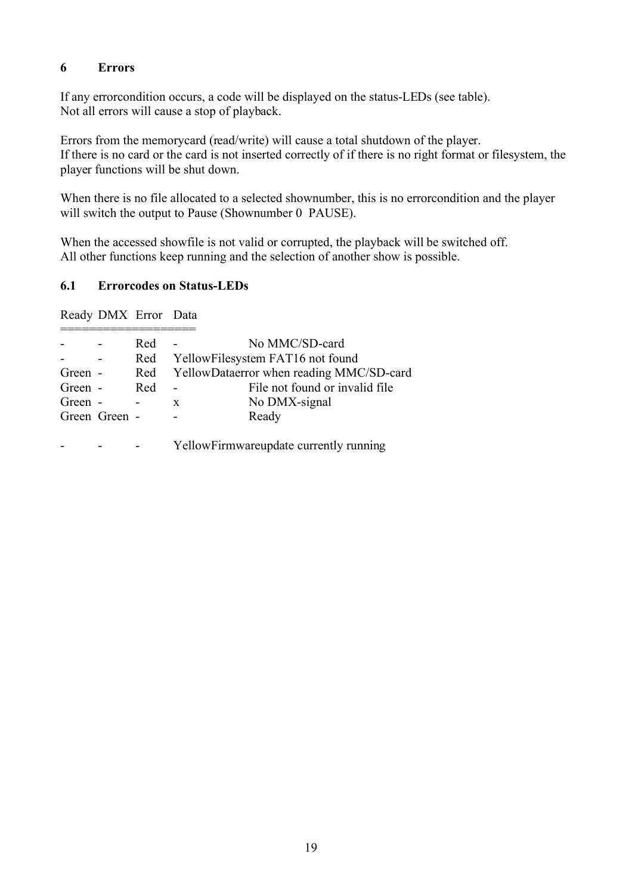#### **6 Errors**

If any errorcondition occurs, a code will be displayed on the status-LEDs (see table). Not all errors will cause a stop of playback.

Errors from the memorycard (read/write) will cause a total shutdown of the player. If there is no card or the card is not inserted correctly of if there is no right format or filesystem, the player functions will be shut down.

When there is no file allocated to a selected shownumber, this is no errorcondition and the player will switch the output to Pause (Shownumber 0 PAUSE).

When the accessed showfile is not valid or corrupted, the playback will be switched off. All other functions keep running and the selection of another show is possible.

#### **6.1 Errorcodes on Status-LEDs**

Ready DMX Error Data

|         |               | Red |   | No MMC/SD-card                           |
|---------|---------------|-----|---|------------------------------------------|
|         |               | Red |   | YellowFilesystem FAT16 not found         |
| Green - |               | Red |   | YellowDataerror when reading MMC/SD-card |
| Green - |               | Red |   | File not found or invalid file           |
| Green - |               |     | X | No DMX-signal                            |
|         | Green Green - |     |   | Ready                                    |
|         |               |     |   |                                          |
|         |               |     |   | YellowFirmwareupdate currently running   |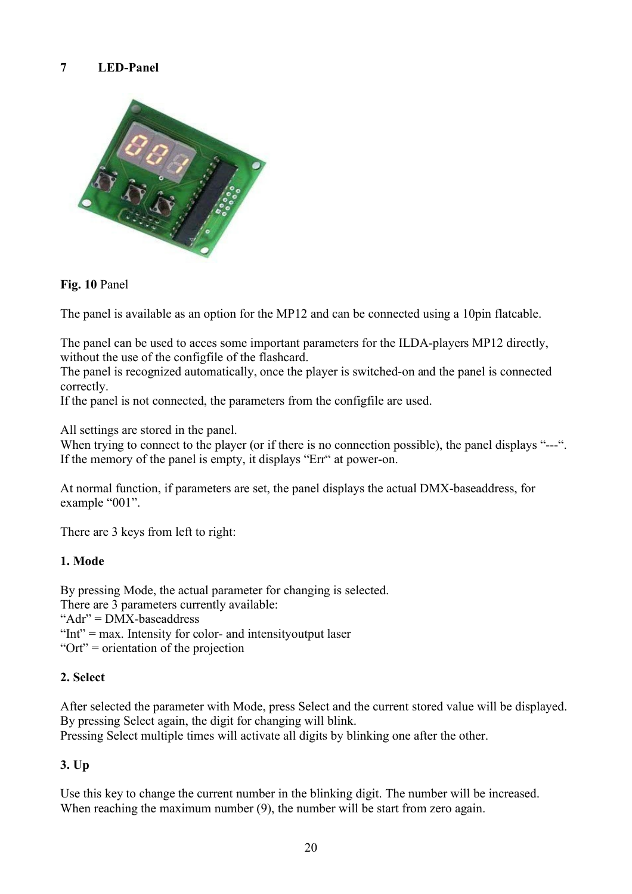## **7 LED-Panel**



#### **Fig. 10** Panel

The panel is available as an option for the MP12 and can be connected using a 10pin flatcable.

The panel can be used to acces some important parameters for the ILDA-players MP12 directly, without the use of the configfile of the flashcard.

The panel is recognized automatically, once the player is switched-on and the panel is connected correctly.

If the panel is not connected, the parameters from the configfile are used.

All settings are stored in the panel.

When trying to connect to the player (or if there is no connection possible), the panel displays "---". If the memory of the panel is empty, it displays "Err" at power-on.

At normal function, if parameters are set, the panel displays the actual DMX-baseaddress, for example "001".

There are 3 keys from left to right:

#### **1. Mode**

By pressing Mode, the actual parameter for changing is selected.

There are 3 parameters currently available:

"Adr" = DMX-baseaddress

"Int" = max. Intensity for color- and intensity output laser

"Ort" = orientation of the projection

#### **2. Select**

After selected the parameter with Mode, press Select and the current stored value will be displayed. By pressing Select again, the digit for changing will blink.

Pressing Select multiple times will activate all digits by blinking one after the other.

#### **3. Up**

Use this key to change the current number in the blinking digit. The number will be increased. When reaching the maximum number (9), the number will be start from zero again.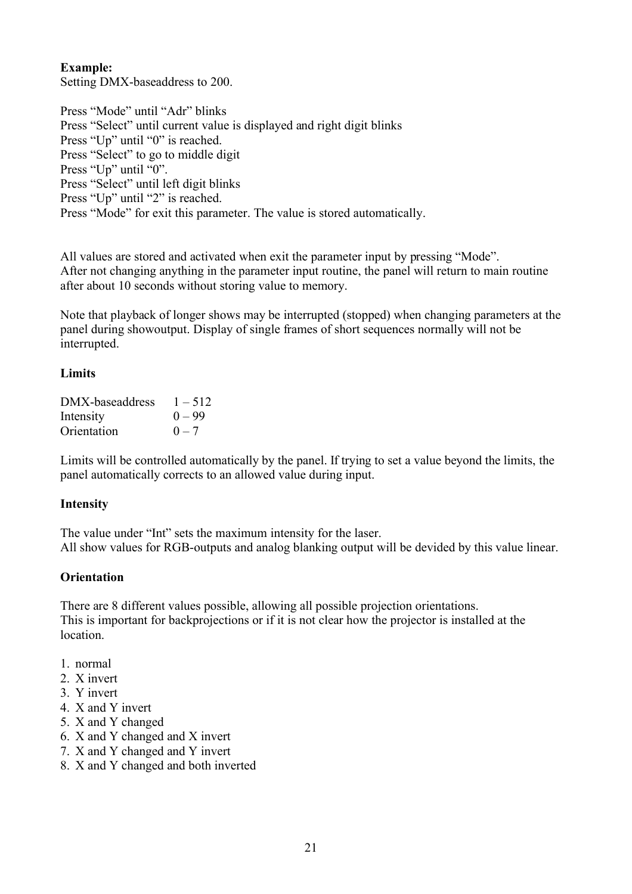#### **Example:**

Setting DMX-baseaddress to 200.

Press "Mode" until "Adr" blinks Press "Select" until current value is displayed and right digit blinks Press "Up" until "0" is reached. Press "Select" to go to middle digit Press "Up" until "0". Press "Select" until left digit blinks Press "Up" until "2" is reached. Press "Mode" for exit this parameter. The value is stored automatically.

All values are stored and activated when exit the parameter input by pressing "Mode". After not changing anything in the parameter input routine, the panel will return to main routine after about 10 seconds without storing value to memory.

Note that playback of longer shows may be interrupted (stopped) when changing parameters at the panel during showoutput. Display of single frames of short sequences normally will not be interrupted.

#### **Limits**

| DMX-baseaddress | $1 - 512$ |
|-----------------|-----------|
| Intensity       | $() = 99$ |
| Orientation     | $0 - 7$   |

Limits will be controlled automatically by the panel. If trying to set a value beyond the limits, the panel automatically corrects to an allowed value during input.

#### **Intensity**

The value under "Int" sets the maximum intensity for the laser. All show values for RGB-outputs and analog blanking output will be devided by this value linear.

#### **Orientation**

There are 8 different values possible, allowing all possible projection orientations. This is important for backprojections or if it is not clear how the projector is installed at the **location** 

- 1. normal
- 2. X invert
- 3. Y invert
- 4. X and Y invert
- 5. X and Y changed
- 6. X and Y changed and X invert
- 7. X and Y changed and Y invert
- 8. X and Y changed and both inverted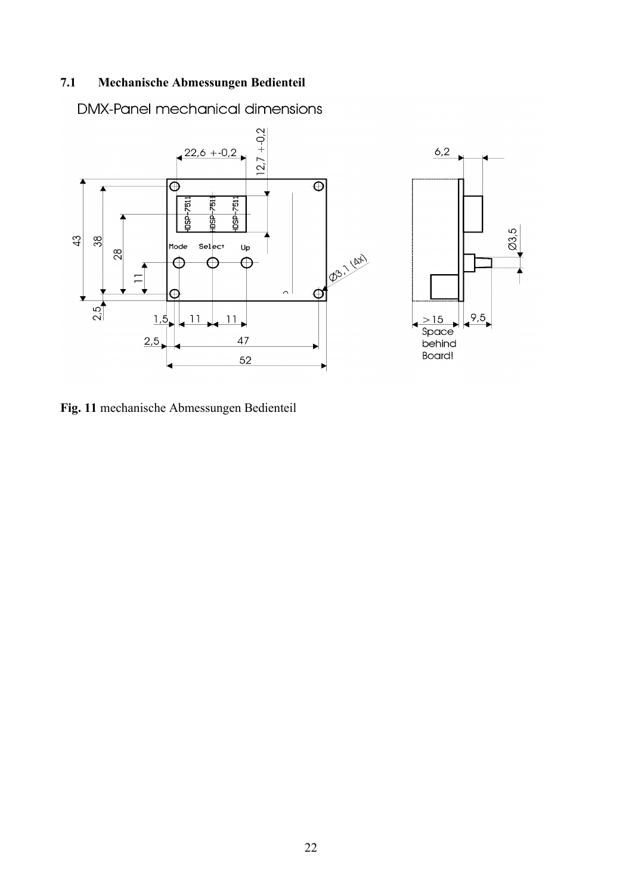## **7.1 Mechanische Abmessungen Bedienteil**

**DMX-Panel mechanical dimensions** 



**Fig. 11** mechanische Abmessungen Bedienteil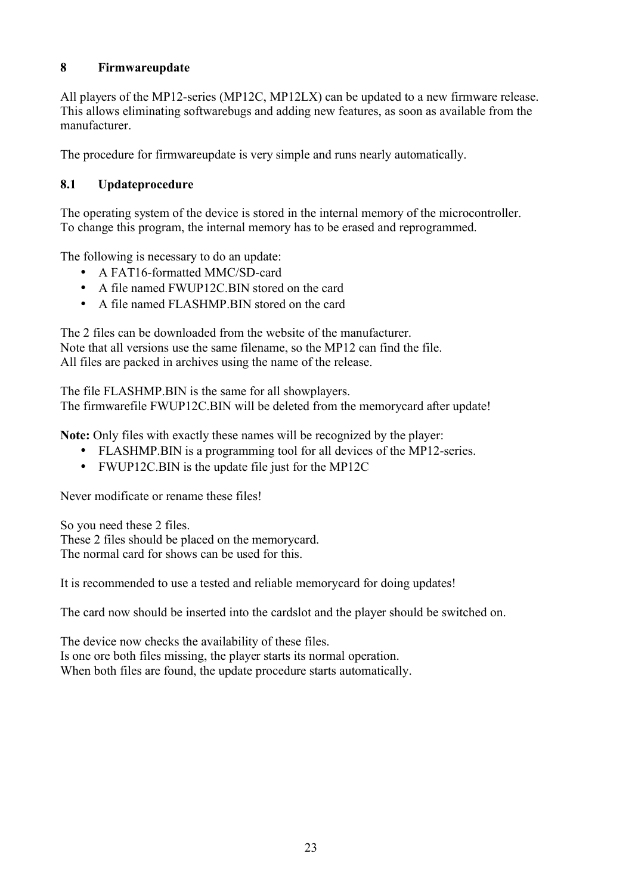## **8 Firmwareupdate**

All players of the MP12-series (MP12C, MP12LX) can be updated to a new firmware release. This allows eliminating softwarebugs and adding new features, as soon as available from the manufacturer.

The procedure for firmwareupdate is very simple and runs nearly automatically.

## **8.1 Updateprocedure**

The operating system of the device is stored in the internal memory of the microcontroller. To change this program, the internal memory has to be erased and reprogrammed.

The following is necessary to do an update:

- A FAT16-formatted MMC/SD-card
- A file named FWUP12C.BIN stored on the card
- A file named FLASHMP.BIN stored on the card

The 2 files can be downloaded from the website of the manufacturer. Note that all versions use the same filename, so the MP12 can find the file. All files are packed in archives using the name of the release.

The file FLASHMP.BIN is the same for all showplayers.

The firmwarefile FWUP12C.BIN will be deleted from the memorycard after update!

**Note:** Only files with exactly these names will be recognized by the player:

- FLASHMP.BIN is a programming tool for all devices of the MP12-series.
- FWUP12C.BIN is the update file just for the MP12C

Never modificate or rename these files!

So you need these 2 files. These 2 files should be placed on the memorycard. The normal card for shows can be used for this.

It is recommended to use a tested and reliable memorycard for doing updates!

The card now should be inserted into the cardslot and the player should be switched on.

The device now checks the availability of these files. Is one ore both files missing, the player starts its normal operation. When both files are found, the update procedure starts automatically.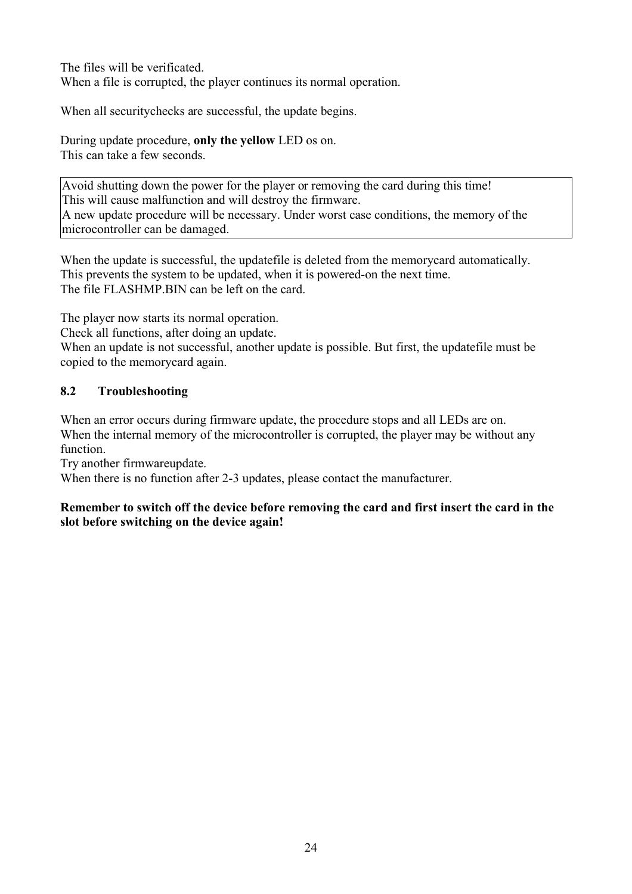The files will be verificated. When a file is corrupted, the player continues its normal operation.

When all securitychecks are successful, the update begins.

During update procedure, **only the yellow** LED os on. This can take a few seconds.

Avoid shutting down the power for the player or removing the card during this time! This will cause malfunction and will destroy the firmware. A new update procedure will be necessary. Under worst case conditions, the memory of the microcontroller can be damaged.

When the update is successful, the updatefile is deleted from the memorycard automatically. This prevents the system to be updated, when it is powered-on the next time. The file FLASHMP BIN can be left on the card.

The player now starts its normal operation.

Check all functions, after doing an update.

When an update is not successful, another update is possible. But first, the updatefile must be copied to the memorycard again.

## **8.2 Troubleshooting**

When an error occurs during firmware update, the procedure stops and all LEDs are on. When the internal memory of the microcontroller is corrupted, the player may be without any function.

Try another firmwareupdate.

When there is no function after 2-3 updates, please contact the manufacturer.

#### **Remember to switch off the device before removing the card and first insert the card in the slot before switching on the device again!**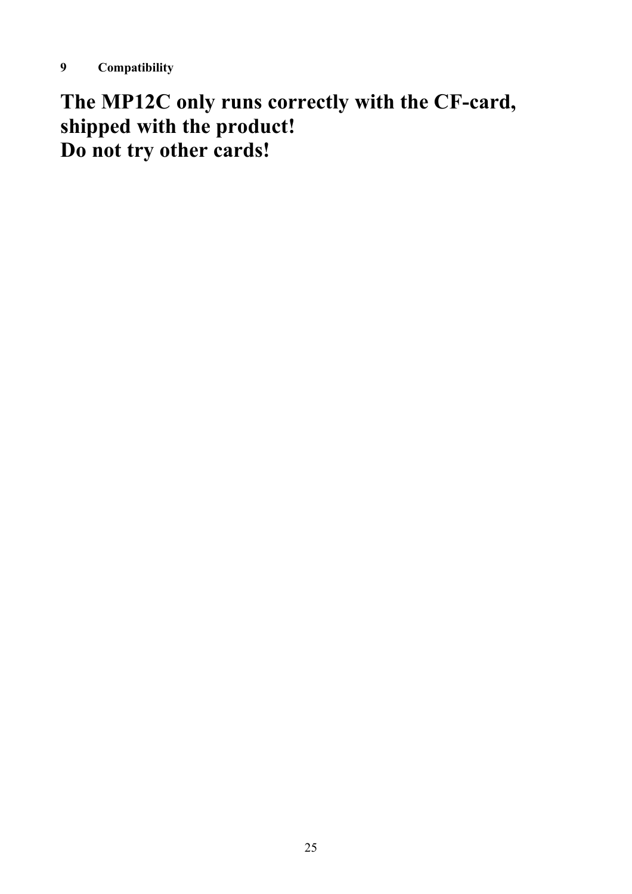**The MP12C only runs correctly with the CF-card, shipped with the product! Do not try other cards!**